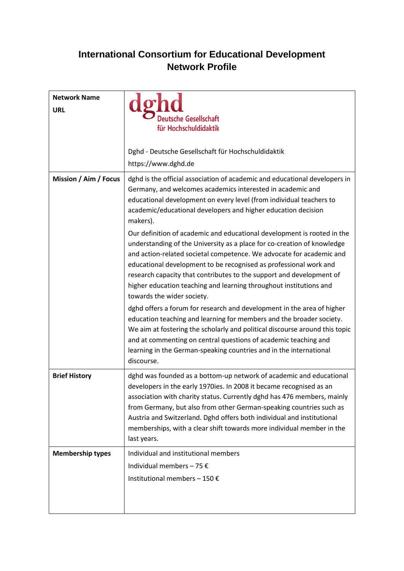## **International Consortium for Educational Development Network Profile**

| <b>Network Name</b><br><b>URL</b> | <b>Itsche Gesellschaft</b><br>für Hochschuldidaktik                                                                                                                                                                                                                                                                                                                                                                                                            |
|-----------------------------------|----------------------------------------------------------------------------------------------------------------------------------------------------------------------------------------------------------------------------------------------------------------------------------------------------------------------------------------------------------------------------------------------------------------------------------------------------------------|
|                                   | Dghd - Deutsche Gesellschaft für Hochschuldidaktik<br>https://www.dghd.de                                                                                                                                                                                                                                                                                                                                                                                      |
| Mission / Aim / Focus             | dghd is the official association of academic and educational developers in<br>Germany, and welcomes academics interested in academic and<br>educational development on every level (from individual teachers to<br>academic/educational developers and higher education decision<br>makers).<br>Our definition of academic and educational development is rooted in the                                                                                        |
|                                   | understanding of the University as a place for co-creation of knowledge<br>and action-related societal competence. We advocate for academic and<br>educational development to be recognised as professional work and<br>research capacity that contributes to the support and development of<br>higher education teaching and learning throughout institutions and<br>towards the wider society.                                                               |
|                                   | dghd offers a forum for research and development in the area of higher<br>education teaching and learning for members and the broader society.<br>We aim at fostering the scholarly and political discourse around this topic<br>and at commenting on central questions of academic teaching and<br>learning in the German-speaking countries and in the international<br>discourse.                                                                           |
| <b>Brief History</b>              | dghd was founded as a bottom-up network of academic and educational<br>developers in the early 1970ies. In 2008 it became recognised as an<br>association with charity status. Currently dghd has 476 members, mainly<br>from Germany, but also from other German-speaking countries such as<br>Austria and Switzerland. Dghd offers both individual and institutional<br>memberships, with a clear shift towards more individual member in the<br>last years. |
| <b>Membership types</b>           | Individual and institutional members<br>Individual members - 75 $\epsilon$<br>Institutional members - 150 €                                                                                                                                                                                                                                                                                                                                                    |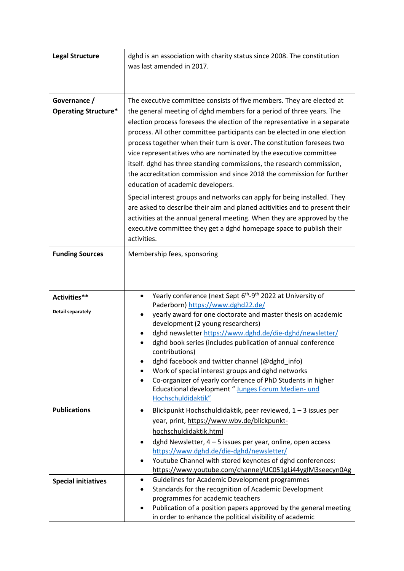| <b>Legal Structure</b>      | dghd is an association with charity status since 2008. The constitution                                                                      |
|-----------------------------|----------------------------------------------------------------------------------------------------------------------------------------------|
|                             | was last amended in 2017.                                                                                                                    |
|                             |                                                                                                                                              |
|                             |                                                                                                                                              |
| Governance /                | The executive committee consists of five members. They are elected at                                                                        |
| <b>Operating Structure*</b> | the general meeting of dghd members for a period of three years. The                                                                         |
|                             | election process foresees the election of the representative in a separate                                                                   |
|                             | process. All other committee participants can be elected in one election                                                                     |
|                             | process together when their turn is over. The constitution foresees two<br>vice representatives who are nominated by the executive committee |
|                             | itself. dghd has three standing commissions, the research commission,                                                                        |
|                             | the accreditation commission and since 2018 the commission for further                                                                       |
|                             | education of academic developers.                                                                                                            |
|                             | Special interest groups and networks can apply for being installed. They                                                                     |
|                             | are asked to describe their aim and planed acitivities and to present their                                                                  |
|                             | activities at the annual general meeting. When they are approved by the                                                                      |
|                             | executive committee they get a dghd homepage space to publish their<br>activities.                                                           |
|                             |                                                                                                                                              |
| <b>Funding Sources</b>      | Membership fees, sponsoring                                                                                                                  |
|                             |                                                                                                                                              |
|                             |                                                                                                                                              |
| Activities**                | Yearly conference (next Sept 6 <sup>th</sup> -9 <sup>th</sup> 2022 at University of                                                          |
|                             | Paderborn) https://www.dghd22.de/                                                                                                            |
| <b>Detail separately</b>    | yearly award for one doctorate and master thesis on academic                                                                                 |
|                             | development (2 young researchers)                                                                                                            |
|                             | dghd newsletter https://www.dghd.de/die-dghd/newsletter/<br>dghd book series (includes publication of annual conference                      |
|                             | contributions)                                                                                                                               |
|                             | dghd facebook and twitter channel (@dghd_info)                                                                                               |
|                             | Work of special interest groups and dghd networks                                                                                            |
|                             | Co-organizer of yearly conference of PhD Students in higher                                                                                  |
|                             | Educational development "Junges Forum Medien- und<br>Hochschuldidaktik"                                                                      |
| <b>Publications</b>         | Blickpunkt Hochschuldidaktik, peer reviewed, 1 - 3 issues per<br>٠                                                                           |
|                             | year, print, https://www.wbv.de/blickpunkt-                                                                                                  |
|                             | hochschuldidaktik.html                                                                                                                       |
|                             | dghd Newsletter, 4 - 5 issues per year, online, open access<br>$\bullet$                                                                     |
|                             | https://www.dghd.de/die-dghd/newsletter/<br>Youtube Channel with stored keynotes of dghd conferences:                                        |
|                             | https://www.youtube.com/channel/UC051gLi44ygIM3seecyn0Ag                                                                                     |
| <b>Special initiatives</b>  | Guidelines for Academic Development programmes                                                                                               |
|                             | Standards for the recognition of Academic Development                                                                                        |
|                             | programmes for academic teachers                                                                                                             |
|                             | Publication of a position papers approved by the general meeting<br>in order to enhance the political visibility of academic                 |